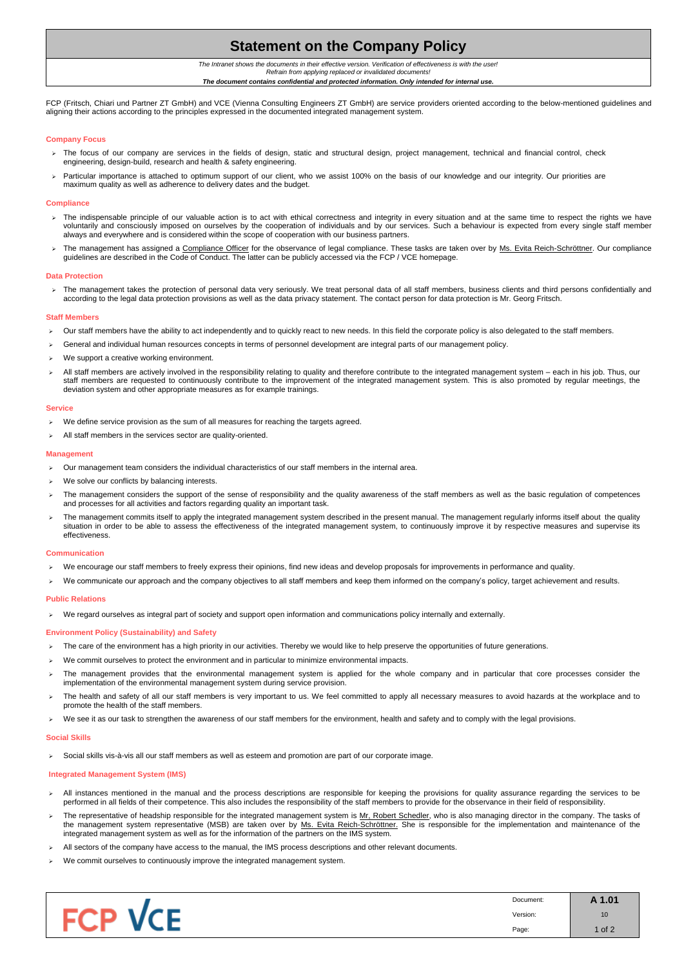# **Statement on the Company Policy**

*The Intranet shows the documents in their effective version. Verification of effectiveness is with the user! Refrain from applying replaced or invalidated documents!*

*The document contains confidential and protected information. Only intended for internal use.*

|                                          | Document: | A 1.01          |
|------------------------------------------|-----------|-----------------|
| $\sim$<br>ــ<br>$\overline{\phantom{a}}$ | Version:  | 10 <sub>1</sub> |
|                                          | Page:     | 1 of $2$        |

FCP (Fritsch, Chiari und Partner ZT GmbH) and VCE (Vienna Consulting Engineers ZT GmbH) are service providers oriented according to the below-mentioned guidelines and aligning their actions according to the principles expressed in the documented integrated management system.

- > The focus of our company are services in the fields of design, static and structural design, project management, technical and financial control, check engineering, design-build, research and health & safety engineering.
- > Particular importance is attached to optimum support of our client, who we assist 100% on the basis of our knowledge and our integrity. Our priorities are maximum quality as well as adherence to delivery dates and the budget.

# **Company Focus**

- > The indispensable principle of our valuable action is to act with ethical correctness and integrity in every situation and at the same time to respect the rights we have voluntarily and consciously imposed on ourselves by the cooperation of individuals and by our services. Such a behaviour is expected from every single staff member always and everywhere and is considered within the scope of cooperation with our business partners.
- The management has assigned a Compliance Officer for the observance of legal compliance. These tasks are taken over by Ms. Evita Reich-Schröttner. Our compliance guidelines are described in the Code of Conduct. The latter can be publicly accessed via the FCP / VCE homepage.

> The management takes the protection of personal data very seriously. We treat personal data of all staff members, business clients and third persons confidentially and according to the legal data protection provisions as well as the data privacy statement. The contact person for data protection is Mr. Georg Fritsch.

### **Compliance**

#### **Data Protection**

- $\triangleright$  Our management team considers the individual characteristics of our staff members in the internal area.
- We solve our conflicts by balancing interests.
- The management considers the support of the sense of responsibility and the quality awareness of the staff members as well as the basic regulation of competences and processes for all activities and factors regarding quality an important task.
- The management commits itself to apply the integrated management system described in the present manual. The management regularly informs itself about the quality situation in order to be able to assess the effectiveness of the integrated management system, to continuously improve it by respective measures and supervise its effectiveness.

- We encourage our staff members to freely express their opinions, find new ideas and develop proposals for improvements in performance and quality.
- ▶ We communicate our approach and the company objectives to all staff members and keep them informed on the company's policy, target achievement and results.

### **Staff Members**

- Our staff members have the ability to act independently and to quickly react to new needs. In this field the corporate policy is also delegated to the staff members.
- General and individual human resources concepts in terms of personnel development are integral parts of our management policy.
- We support a creative working environment.
- All staff members are actively involved in the responsibility relating to quality and therefore contribute to the integrated management system each in his job. Thus, our staff members are requested to continuously contribute to the improvement of the integrated management system. This is also promoted by regular meetings, the deviation system and other appropriate measures as for example trainings.

- All instances mentioned in the manual and the process descriptions are responsible for keeping the provisions for quality assurance regarding the services to be performed in all fields of their competence. This also includes the responsibility of the staff members to provide for the observance in their field of responsibility.
- The representative of headship responsible for the integrated management system is Mr, Robert Schedler, who is also managing director in the company. The tasks of the management system representative (MSB) are taken over by Ms. Evita Reich-Schröttner. She is responsible for the implementation and maintenance of the integrated management system as well as for the information of the partners on the IMS system.
- $\triangleright$  All sectors of the company have access to the manual, the IMS process descriptions and other relevant documents.
- $\triangleright$  We commit ourselves to continuously improve the integrated management system.

#### **Service**

- $\triangleright$  We define service provision as the sum of all measures for reaching the targets agreed.
- $\triangleright$  All staff members in the services sector are quality-oriented.

### **Management**

### **Communication**

### **Public Relations**

We regard ourselves as integral part of society and support open information and communications policy internally and externally.

### **Environment Policy (Sustainability) and Safety**

- > The care of the environment has a high priority in our activities. Thereby we would like to help preserve the opportunities of future generations.
- We commit ourselves to protect the environment and in particular to minimize environmental impacts.
- The management provides that the environmental management system is applied for the whole company and in particular that core processes consider the implementation of the environmental management system during service provision.
- The health and safety of all our staff members is very important to us. We feel committed to apply all necessary measures to avoid hazards at the workplace and to promote the health of the staff members.
- We see it as our task to strengthen the awareness of our staff members for the environment, health and safety and to comply with the legal provisions.

### **Social Skills**

Social skills vis-à-vis all our staff members as well as esteem and promotion are part of our corporate image.

# **Integrated Management System (IMS)**